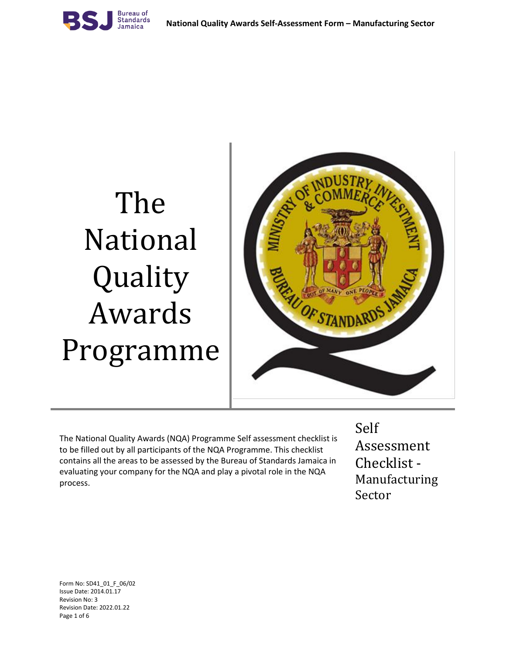

# The National Quality Awards Programme



The National Quality Awards (NQA) Programme Self assessment checklist is to be filled out by all participants of the NQA Programme. This checklist contains all the areas to be assessed by the Bureau of Standards Jamaica in evaluating your company for the NQA and play a pivotal role in the NQA process.

# Self

Assessment Checklist - Manufacturing Sector

Form No: SD41\_01\_F\_06/02 Issue Date: 2014.01.17 Revision No: 3 Revision Date: 2022.01.22 Page 1 of 6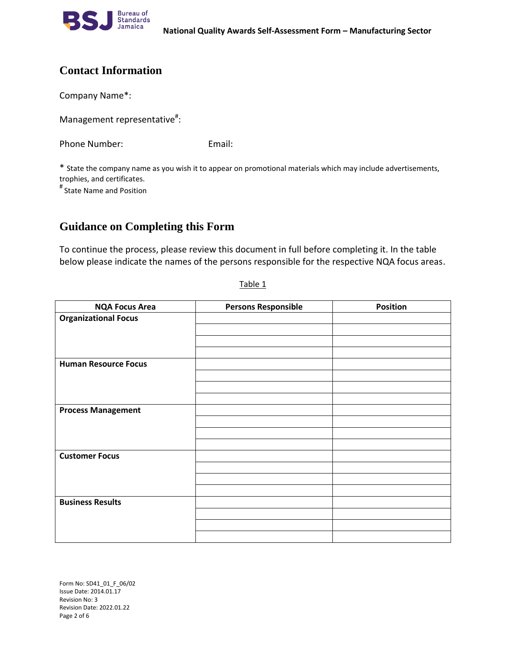

## **Contact Information**

Company Name\*:

Management representative<sup>#</sup>:

Phone Number: Email:

\* State the company name as you wish it to appear on promotional materials which may include advertisements, trophies, and certificates.

# State Name and Position

### **Guidance on Completing this Form**

To continue the process, please review this document in full before completing it. In the table below please indicate the names of the persons responsible for the respective NQA focus areas.

| <b>NQA Focus Area</b>       | <b>Persons Responsible</b> | <b>Position</b> |
|-----------------------------|----------------------------|-----------------|
| <b>Organizational Focus</b> |                            |                 |
|                             |                            |                 |
|                             |                            |                 |
|                             |                            |                 |
| <b>Human Resource Focus</b> |                            |                 |
|                             |                            |                 |
|                             |                            |                 |
|                             |                            |                 |
| <b>Process Management</b>   |                            |                 |
|                             |                            |                 |
|                             |                            |                 |
|                             |                            |                 |
| <b>Customer Focus</b>       |                            |                 |
|                             |                            |                 |
|                             |                            |                 |
|                             |                            |                 |
| <b>Business Results</b>     |                            |                 |
|                             |                            |                 |
|                             |                            |                 |
|                             |                            |                 |

Table 1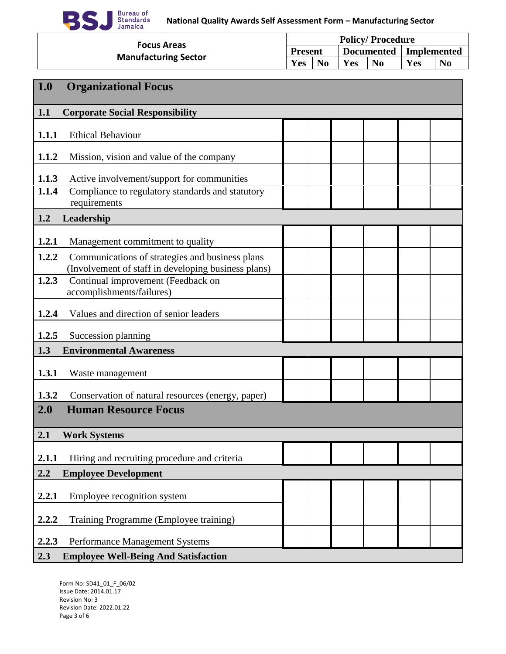

| <b>Focus Areas</b>          | <b>Policy/Procedure</b> |                |                   |                |             |                |  |
|-----------------------------|-------------------------|----------------|-------------------|----------------|-------------|----------------|--|
|                             | <b>Present</b>          |                | <b>Documented</b> |                | Implemented |                |  |
| <b>Manufacturing Sector</b> | Yes                     | N <sub>0</sub> | Yes               | N <sub>0</sub> | Yes         | N <sub>0</sub> |  |

| 1.0   | <b>Organizational Focus</b>                                                                            |  |  |  |
|-------|--------------------------------------------------------------------------------------------------------|--|--|--|
| 1.1   | <b>Corporate Social Responsibility</b>                                                                 |  |  |  |
| 1.1.1 | <b>Ethical Behaviour</b>                                                                               |  |  |  |
| 1.1.2 | Mission, vision and value of the company                                                               |  |  |  |
| 1.1.3 | Active involvement/support for communities                                                             |  |  |  |
| 1.1.4 | Compliance to regulatory standards and statutory<br>requirements                                       |  |  |  |
| 1.2   | Leadership                                                                                             |  |  |  |
| 1.2.1 | Management commitment to quality                                                                       |  |  |  |
| 1.2.2 | Communications of strategies and business plans<br>(Involvement of staff in developing business plans) |  |  |  |
| 1.2.3 | Continual improvement (Feedback on<br>accomplishments/failures)                                        |  |  |  |
| 1.2.4 | Values and direction of senior leaders                                                                 |  |  |  |
| 1.2.5 | Succession planning                                                                                    |  |  |  |
| 1.3   | <b>Environmental Awareness</b>                                                                         |  |  |  |
| 1.3.1 | Waste management                                                                                       |  |  |  |
| 1.3.2 | Conservation of natural resources (energy, paper)                                                      |  |  |  |
| 2.0   | <b>Human Resource Focus</b>                                                                            |  |  |  |
| 2.1   | <b>Work Systems</b>                                                                                    |  |  |  |
| 2.1.1 | Hiring and recruiting procedure and criteria                                                           |  |  |  |
| 2.2   | <b>Employee Development</b>                                                                            |  |  |  |
| 2.2.1 | Employee recognition system                                                                            |  |  |  |
| 2.2.2 | Training Programme (Employee training)                                                                 |  |  |  |
| 2.2.3 | <b>Performance Management Systems</b>                                                                  |  |  |  |
| 2.3   | <b>Employee Well-Being And Satisfaction</b>                                                            |  |  |  |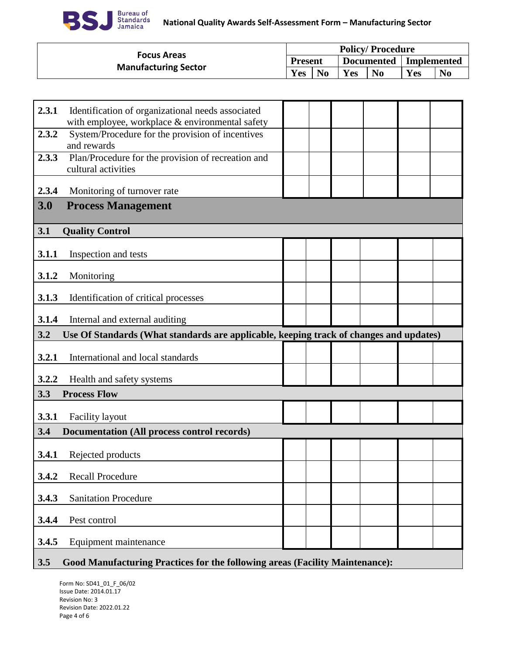

| <b>Focus Areas</b>          | <b>Policy/Procedure</b> |       |     |                |                          |                |
|-----------------------------|-------------------------|-------|-----|----------------|--------------------------|----------------|
|                             | <b>Present</b>          |       |     |                | Documented   Implemented |                |
| <b>Manufacturing Sector</b> | Yes                     | $N$ o | Yes | N <sub>o</sub> | Yes                      | N <sub>0</sub> |

| 2.3.1 | Identification of organizational needs associated<br>with employee, workplace & environmental safety |  |  |  |
|-------|------------------------------------------------------------------------------------------------------|--|--|--|
| 2.3.2 | System/Procedure for the provision of incentives<br>and rewards                                      |  |  |  |
| 2.3.3 | Plan/Procedure for the provision of recreation and<br>cultural activities                            |  |  |  |
| 2.3.4 | Monitoring of turnover rate                                                                          |  |  |  |
| 3.0   | <b>Process Management</b>                                                                            |  |  |  |
| 3.1   | <b>Quality Control</b>                                                                               |  |  |  |
| 3.1.1 | Inspection and tests                                                                                 |  |  |  |
| 3.1.2 | Monitoring                                                                                           |  |  |  |
| 3.1.3 | Identification of critical processes                                                                 |  |  |  |
| 3.1.4 | Internal and external auditing                                                                       |  |  |  |
|       |                                                                                                      |  |  |  |
| 3.2   | Use Of Standards (What standards are applicable, keeping track of changes and updates)               |  |  |  |
| 3.2.1 | International and local standards                                                                    |  |  |  |
| 3.2.2 | Health and safety systems                                                                            |  |  |  |
| 3.3   | <b>Process Flow</b>                                                                                  |  |  |  |
| 3.3.1 | <b>Facility layout</b>                                                                               |  |  |  |
| 3.4   | <b>Documentation (All process control records)</b>                                                   |  |  |  |
| 3.4.1 | Rejected products                                                                                    |  |  |  |
| 3.4.2 | <b>Recall Procedure</b>                                                                              |  |  |  |
| 3.4.3 | <b>Sanitation Procedure</b>                                                                          |  |  |  |
| 3.4.4 | Pest control                                                                                         |  |  |  |
| 3.4.5 | Equipment maintenance                                                                                |  |  |  |

#### **3.5 Good Manufacturing Practices for the following areas (Facility Maintenance):**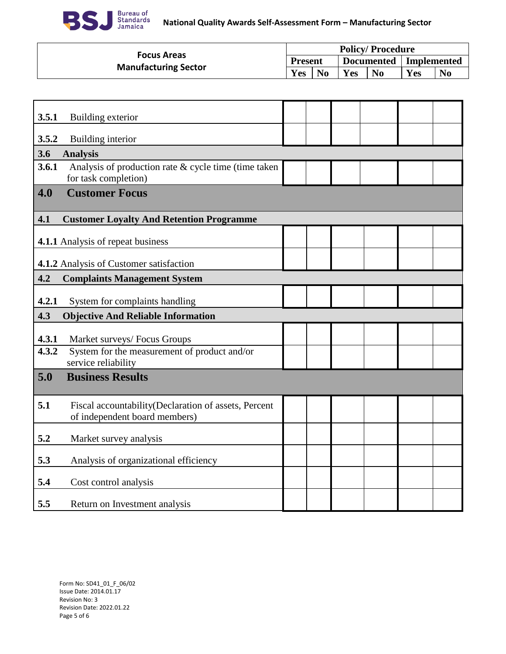

| <b>Focus Areas</b>          | <b>Policy/Procedure</b> |                |     |                |                          |                |  |
|-----------------------------|-------------------------|----------------|-----|----------------|--------------------------|----------------|--|
|                             | <b>Present</b>          |                |     |                | Documented   Implemented |                |  |
| <b>Manufacturing Sector</b> | Yes                     | N <sub>0</sub> | Yes | $\mathbf{N_0}$ | Yes                      | $\mathbf{N_0}$ |  |

| 3.5.1 | Building exterior                                                                     |  |  |  |
|-------|---------------------------------------------------------------------------------------|--|--|--|
| 3.5.2 | Building interior                                                                     |  |  |  |
| 3.6   | <b>Analysis</b>                                                                       |  |  |  |
| 3.6.1 | Analysis of production rate & cycle time (time taken<br>for task completion)          |  |  |  |
| 4.0   | <b>Customer Focus</b>                                                                 |  |  |  |
| 4.1   | <b>Customer Loyalty And Retention Programme</b>                                       |  |  |  |
|       | 4.1.1 Analysis of repeat business                                                     |  |  |  |
|       | 4.1.2 Analysis of Customer satisfaction                                               |  |  |  |
| 4.2   | <b>Complaints Management System</b>                                                   |  |  |  |
| 4.2.1 | System for complaints handling                                                        |  |  |  |
|       |                                                                                       |  |  |  |
| 4.3   | <b>Objective And Reliable Information</b>                                             |  |  |  |
| 4.3.1 | Market surveys/ Focus Groups                                                          |  |  |  |
| 4.3.2 | System for the measurement of product and/or<br>service reliability                   |  |  |  |
| 5.0   | <b>Business Results</b>                                                               |  |  |  |
| 5.1   | Fiscal accountability(Declaration of assets, Percent<br>of independent board members) |  |  |  |
| 5.2   | Market survey analysis                                                                |  |  |  |
| 5.3   | Analysis of organizational efficiency                                                 |  |  |  |
| 5.4   | Cost control analysis                                                                 |  |  |  |